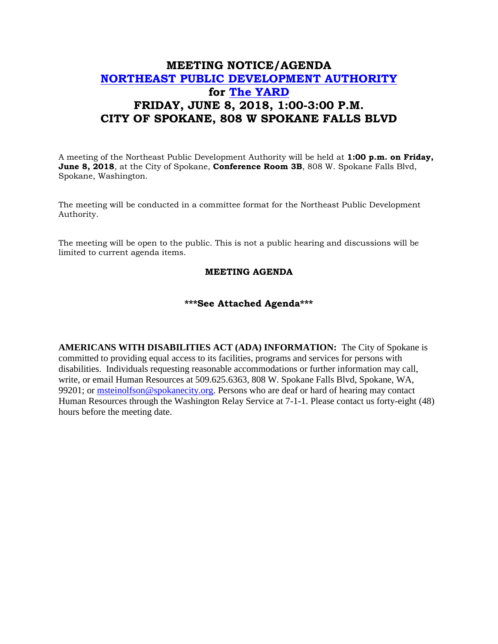## **MEETING NOTICE/AGENDA [NORTHEAST PUBLIC DEVELOPMENT AUTHORITY](https://beta.spokanecity.org/bcc/boards/northeast-public-development-authority/) for [The YARD](https://beta.spokanecity.org/projects/theyard/) FRIDAY, JUNE 8, 2018, 1:00-3:00 P.M. CITY OF SPOKANE, 808 W SPOKANE FALLS BLVD**

A meeting of the Northeast Public Development Authority will be held at **1:00 p.m. on Friday, June 8, 2018**, at the City of Spokane, **Conference Room 3B**, 808 W. Spokane Falls Blvd, Spokane, Washington.

The meeting will be conducted in a committee format for the Northeast Public Development Authority.

The meeting will be open to the public. This is not a public hearing and discussions will be limited to current agenda items.

## **MEETING AGENDA**

## **\*\*\*See Attached Agenda\*\*\***

**AMERICANS WITH DISABILITIES ACT (ADA) INFORMATION:** The City of Spokane is committed to providing equal access to its facilities, programs and services for persons with disabilities. Individuals requesting reasonable accommodations or further information may call, write, or email Human Resources at 509.625.6363, 808 W. Spokane Falls Blvd, Spokane, WA, 99201; or [msteinolfson@spokanecity.org.](mailto:msteinolfson@spokanecity.org) Persons who are deaf or hard of hearing may contact Human Resources through the Washington Relay Service at 7-1-1. Please contact us forty-eight (48) hours before the meeting date.